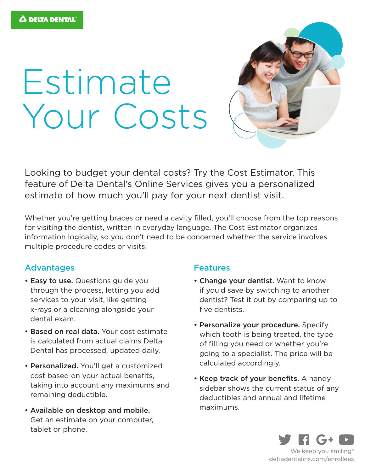# Estimate Your Costs



Looking to budget your dental costs? Try the Cost Estimator. This feature of Delta Dental's Online Services gives you a personalized estimate of how much you'll pay for your next dentist visit.

Whether you're getting braces or need a cavity filled, you'll choose from the top reasons for visiting the dentist, written in everyday language. The Cost Estimator organizes information logically, so you don't need to be concerned whether the service involves multiple procedure codes or visits.

## Advantages

- Easy to use. Questions guide you through the process, letting you add services to your visit, like getting x-rays or a cleaning alongside your dental exam.
- Based on real data. Your cost estimate is calculated from actual claims Delta Dental has processed, updated daily.
- Personalized. You'll get a customized cost based on your actual benefits, taking into account any maximums and remaining deductible.
- Available on desktop and mobile. Get an estimate on your computer, tablet or phone.

### Features

- Change your dentist. Want to know if you'd save by switching to another dentist? Test it out by comparing up to five dentists.
- Personalize your procedure. Specify which tooth is being treated, the type of filling you need or whether you're going to a specialist. The price will be calculated accordingly.
- Keep track of your benefits. A handy sidebar shows the current status of any deductibles and annual and lifetime maximums.